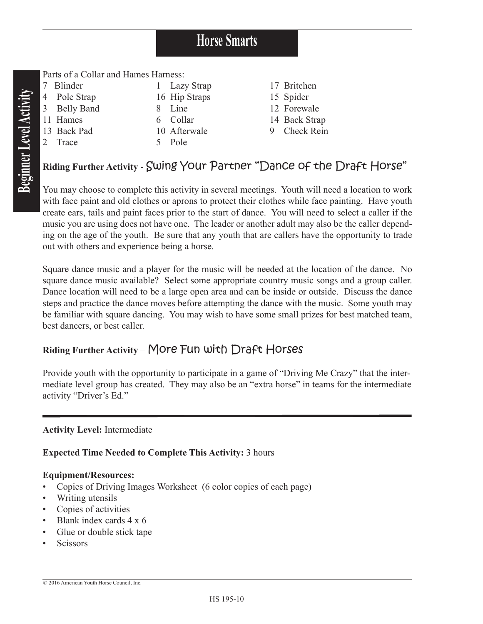# **Horse Smarts**

**Beginner Level Activity Beginner Level Activity**

Parts of a Collar and Hames Harness:

| <u>t arts of a Comar and Hamlos Hamloss.</u> |              |  |               |  |               |
|----------------------------------------------|--------------|--|---------------|--|---------------|
|                                              | Blinder      |  | 1 Lazy Strap  |  | 17 Britchen   |
|                                              | 4 Pole Strap |  | 16 Hip Straps |  | 15 Spider     |
|                                              | 3 Belly Band |  | 8 Line        |  | 12 Forewale   |
|                                              | 11 Hames     |  | 6 Collar      |  | 14 Back Strap |
|                                              | 13 Back Pad  |  | 10 Afterwale  |  | 9 Check Rein  |
|                                              | Trace        |  | 5 Pole        |  |               |
|                                              |              |  |               |  |               |

## **Riding Further Activity** - Swing Your Partner "Dance of the Draft Horse"

You may choose to complete this activity in several meetings. Youth will need a location to work with face paint and old clothes or aprons to protect their clothes while face painting. Have youth create ears, tails and paint faces prior to the start of dance. You will need to select a caller if the music you are using does not have one. The leader or another adult may also be the caller depending on the age of the youth. Be sure that any youth that are callers have the opportunity to trade out with others and experience being a horse.

Square dance music and a player for the music will be needed at the location of the dance. No square dance music available? Select some appropriate country music songs and a group caller. Dance location will need to be a large open area and can be inside or outside. Discuss the dance steps and practice the dance moves before attempting the dance with the music. Some youth may be familiar with square dancing. You may wish to have some small prizes for best matched team, best dancers, or best caller.

## **Riding Further Activity** – More Fun with Draft Horses

Provide youth with the opportunity to participate in a game of "Driving Me Crazy" that the intermediate level group has created. They may also be an "extra horse" in teams for the intermediate activity "Driver's Ed."

### **Activity Level:** Intermediate

### **Expected Time Needed to Complete This Activity:** 3 hours

#### **Equipment/Resources:**

- Copies of Driving Images Worksheet (6 color copies of each page)
- Writing utensils
- Copies of activities
- Blank index cards 4 x 6
- Glue or double stick tape
- **Scissors**

<sup>© 2016</sup> American Youth Horse Council, Inc.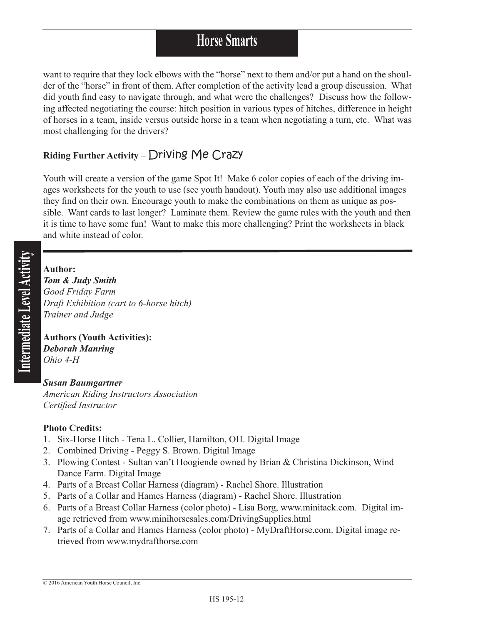# **Horse Smarts**

want to require that they lock elbows with the "horse" next to them and/or put a hand on the shoulder of the "horse" in front of them. After completion of the activity lead a group discussion. What did youth find easy to navigate through, and what were the challenges? Discuss how the following affected negotiating the course: hitch position in various types of hitches, difference in height of horses in a team, inside versus outside horse in a team when negotiating a turn, etc. What was most challenging for the drivers?

## **Riding Further Activity** – Driving Me Crazy

Youth will create a version of the game Spot It! Make 6 color copies of each of the driving images worksheets for the youth to use (see youth handout). Youth may also use additional images they find on their own. Encourage youth to make the combinations on them as unique as possible. Want cards to last longer? Laminate them. Review the game rules with the youth and then it is time to have some fun! Want to make this more challenging? Print the worksheets in black and white instead of color.

### **Author:**

*Tom & Judy Smith Good Friday Farm Draft Exhibition (cart to 6-horse hitch) Trainer and Judge*

**Authors (Youth Activities):** *Deborah Manring Ohio 4-H*

#### *Susan Baumgartner American Riding Instructors Association Certified Instructor*

### **Photo Credits:**

- 1. Six-Horse Hitch Tena L. Collier, Hamilton, OH. Digital Image
- 2. Combined Driving Peggy S. Brown. Digital Image
- 3. Plowing Contest Sultan van't Hoogiende owned by Brian & Christina Dickinson, Wind Dance Farm. Digital Image
- 4. Parts of a Breast Collar Harness (diagram) Rachel Shore. Illustration
- 5. Parts of a Collar and Hames Harness (diagram) Rachel Shore. Illustration
- 6. Parts of a Breast Collar Harness (color photo) Lisa Borg, www.minitack.com. Digital image retrieved from www.minihorsesales.com/DrivingSupplies.html
- 7. Parts of a Collar and Hames Harness (color photo) MyDraftHorse.com. Digital image retrieved from www.mydrafthorse.com